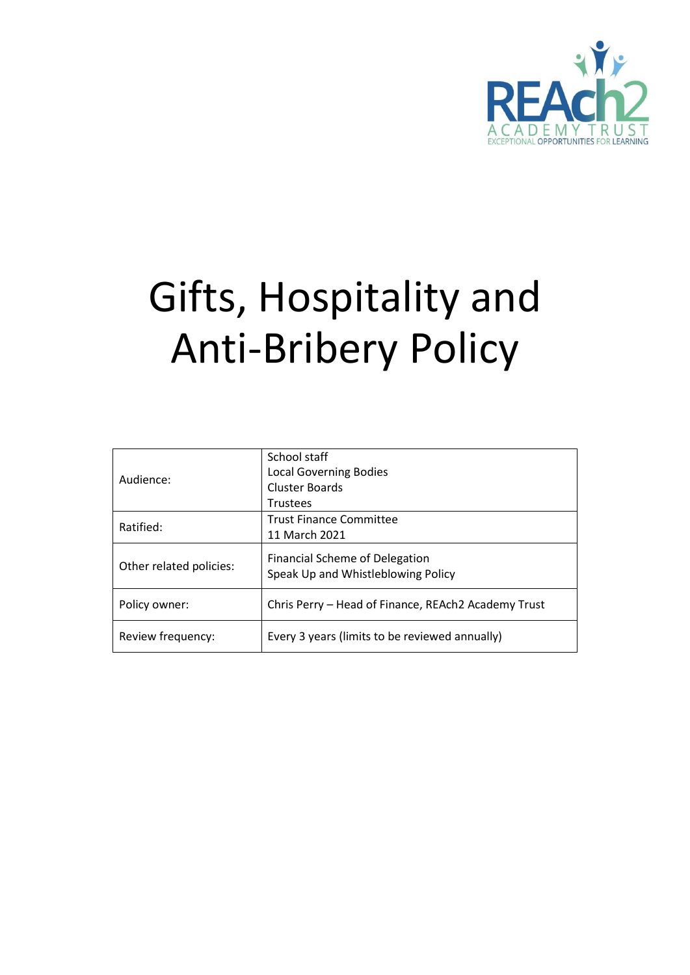

# Gifts, Hospitality and Anti-Bribery Policy

|                         | School staff                                        |  |
|-------------------------|-----------------------------------------------------|--|
| Audience:               | <b>Local Governing Bodies</b>                       |  |
|                         | <b>Cluster Boards</b>                               |  |
|                         | <b>Trustees</b>                                     |  |
| Ratified:               | <b>Trust Finance Committee</b>                      |  |
|                         | 11 March 2021                                       |  |
|                         | <b>Financial Scheme of Delegation</b>               |  |
| Other related policies: | Speak Up and Whistleblowing Policy                  |  |
|                         |                                                     |  |
| Policy owner:           | Chris Perry - Head of Finance, REAch2 Academy Trust |  |
| Review frequency:       | Every 3 years (limits to be reviewed annually)      |  |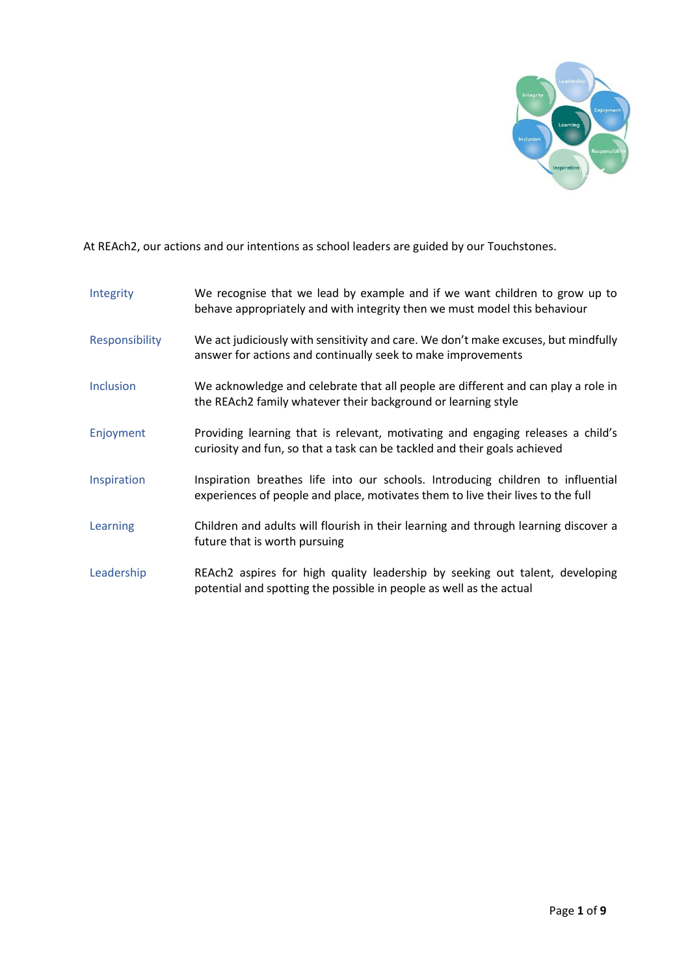

At REAch2, our actions and our intentions as school leaders are guided by our Touchstones.

| Integrity        | We recognise that we lead by example and if we want children to grow up to<br>behave appropriately and with integrity then we must model this behaviour            |
|------------------|--------------------------------------------------------------------------------------------------------------------------------------------------------------------|
| Responsibility   | We act judiciously with sensitivity and care. We don't make excuses, but mindfully<br>answer for actions and continually seek to make improvements                 |
| <b>Inclusion</b> | We acknowledge and celebrate that all people are different and can play a role in<br>the REAch2 family whatever their background or learning style                 |
| Enjoyment        | Providing learning that is relevant, motivating and engaging releases a child's<br>curiosity and fun, so that a task can be tackled and their goals achieved       |
| Inspiration      | Inspiration breathes life into our schools. Introducing children to influential<br>experiences of people and place, motivates them to live their lives to the full |
| Learning         | Children and adults will flourish in their learning and through learning discover a<br>future that is worth pursuing                                               |
| Leadership       | REAch2 aspires for high quality leadership by seeking out talent, developing<br>potential and spotting the possible in people as well as the actual                |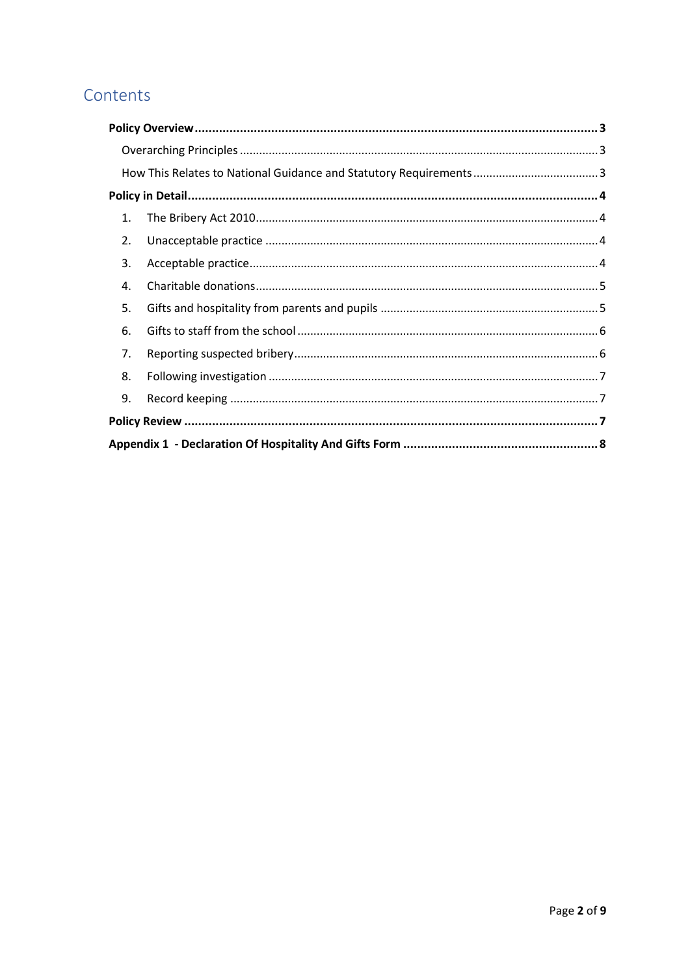# Contents

| 1. |  |  |
|----|--|--|
| 2. |  |  |
| 3. |  |  |
| 4. |  |  |
| 5. |  |  |
| 6. |  |  |
| 7. |  |  |
| 8. |  |  |
| 9. |  |  |
|    |  |  |
|    |  |  |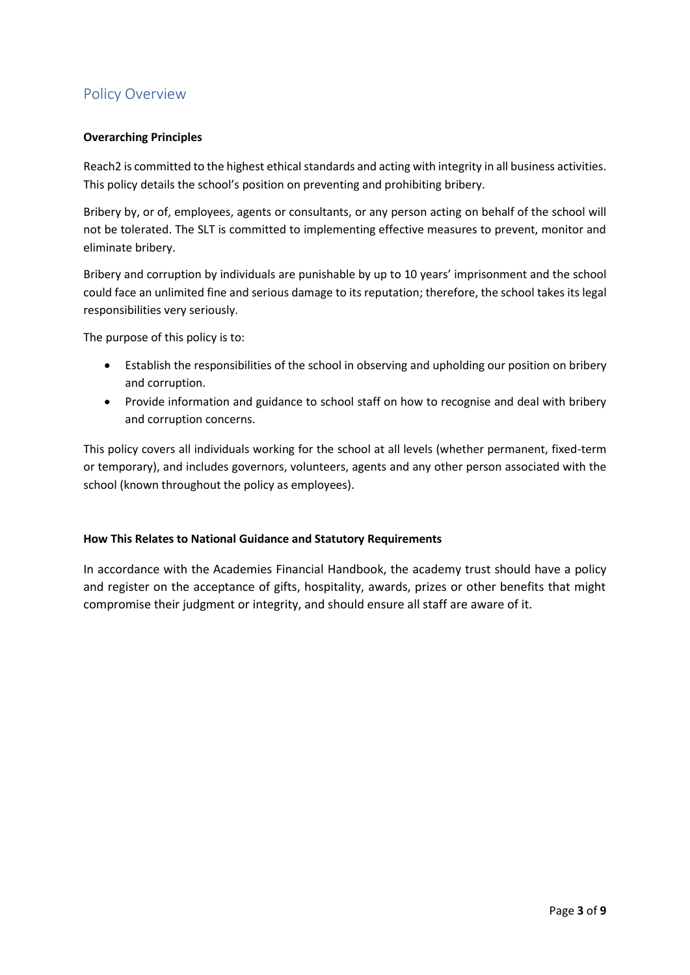# <span id="page-3-0"></span>Policy Overview

## <span id="page-3-1"></span>**Overarching Principles**

Reach2 is committed to the highest ethical standards and acting with integrity in all business activities. This policy details the school's position on preventing and prohibiting bribery.

Bribery by, or of, employees, agents or consultants, or any person acting on behalf of the school will not be tolerated. The SLT is committed to implementing effective measures to prevent, monitor and eliminate bribery.

Bribery and corruption by individuals are punishable by up to 10 years' imprisonment and the school could face an unlimited fine and serious damage to its reputation; therefore, the school takes its legal responsibilities very seriously.

The purpose of this policy is to:

- Establish the responsibilities of the school in observing and upholding our position on bribery and corruption.
- Provide information and guidance to school staff on how to recognise and deal with bribery and corruption concerns.

This policy covers all individuals working for the school at all levels (whether permanent, fixed-term or temporary), and includes governors, volunteers, agents and any other person associated with the school (known throughout the policy as employees).

#### <span id="page-3-2"></span>**How This Relates to National Guidance and Statutory Requirements**

In accordance with the Academies Financial Handbook, the academy trust should have a policy and register on the acceptance of gifts, hospitality, awards, prizes or other benefits that might compromise their judgment or integrity, and should ensure all staff are aware of it.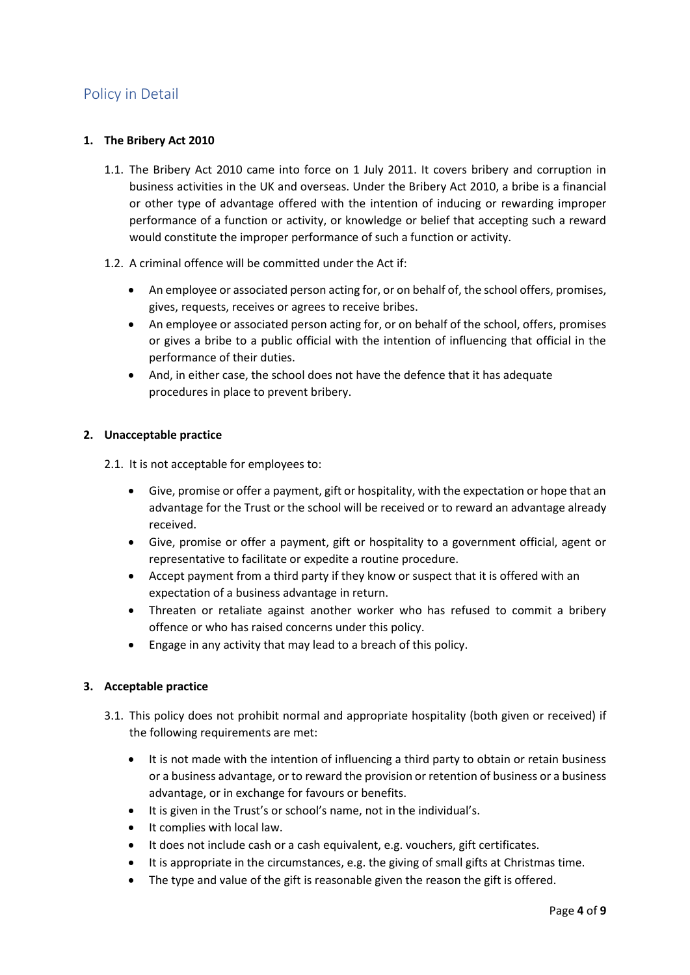# <span id="page-4-0"></span>Policy in Detail

#### <span id="page-4-1"></span>**1. The Bribery Act 2010**

- 1.1. The Bribery Act 2010 came into force on 1 July 2011. It covers bribery and corruption in business activities in the UK and overseas. Under the Bribery Act 2010, a bribe is a financial or other type of advantage offered with the intention of inducing or rewarding improper performance of a function or activity, or knowledge or belief that accepting such a reward would constitute the improper performance of such a function or activity.
- 1.2. A criminal offence will be committed under the Act if:
	- An employee or associated person acting for, or on behalf of, the school offers, promises, gives, requests, receives or agrees to receive bribes.
	- An employee or associated person acting for, or on behalf of the school, offers, promises or gives a bribe to a public official with the intention of influencing that official in the performance of their duties.
	- And, in either case, the school does not have the defence that it has adequate procedures in place to prevent bribery.

## <span id="page-4-2"></span>**2. Unacceptable practice**

2.1. It is not acceptable for employees to:

- Give, promise or offer a payment, gift or hospitality, with the expectation or hope that an advantage for the Trust or the school will be received or to reward an advantage already received.
- Give, promise or offer a payment, gift or hospitality to a government official, agent or representative to facilitate or expedite a routine procedure.
- Accept payment from a third party if they know or suspect that it is offered with an expectation of a business advantage in return.
- Threaten or retaliate against another worker who has refused to commit a bribery offence or who has raised concerns under this policy.
- Engage in any activity that may lead to a breach of this policy.

## <span id="page-4-3"></span>**3. Acceptable practice**

- 3.1. This policy does not prohibit normal and appropriate hospitality (both given or received) if the following requirements are met:
	- It is not made with the intention of influencing a third party to obtain or retain business or a business advantage, or to reward the provision or retention of business or a business advantage, or in exchange for favours or benefits.
	- It is given in the Trust's or school's name, not in the individual's.
	- It complies with local law.
	- It does not include cash or a cash equivalent, e.g. vouchers, gift certificates.
	- It is appropriate in the circumstances, e.g. the giving of small gifts at Christmas time.
	- The type and value of the gift is reasonable given the reason the gift is offered.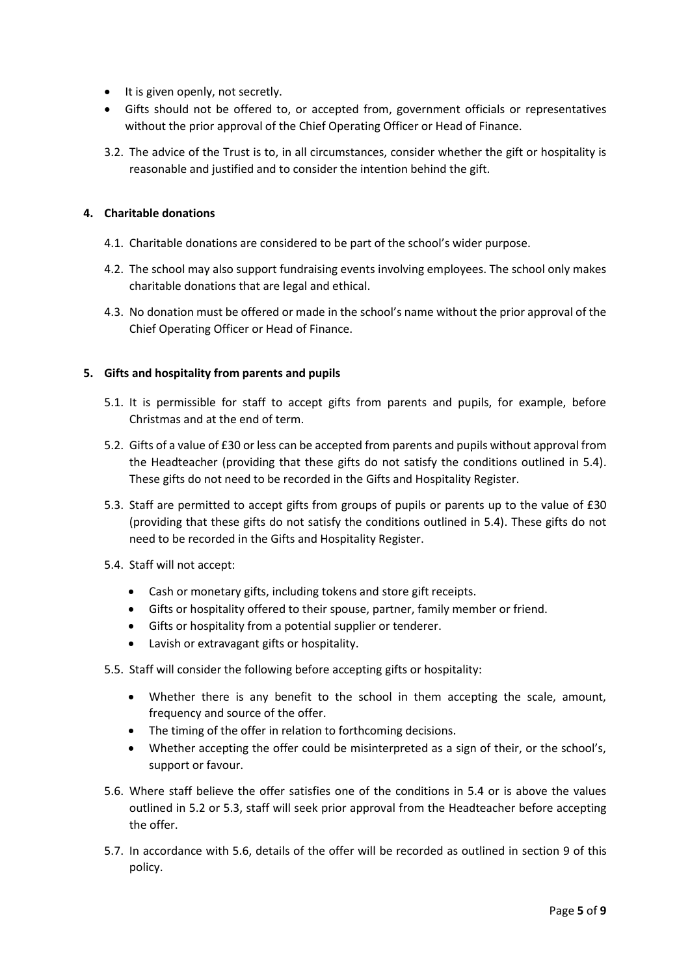- It is given openly, not secretly.
- Gifts should not be offered to, or accepted from, government officials or representatives without the prior approval of the Chief Operating Officer or Head of Finance.
- 3.2. The advice of the Trust is to, in all circumstances, consider whether the gift or hospitality is reasonable and justified and to consider the intention behind the gift.

#### <span id="page-5-0"></span>**4. Charitable donations**

- 4.1. Charitable donations are considered to be part of the school's wider purpose.
- 4.2. The school may also support fundraising events involving employees. The school only makes charitable donations that are legal and ethical.
- 4.3. No donation must be offered or made in the school's name without the prior approval of the Chief Operating Officer or Head of Finance.

#### <span id="page-5-1"></span>**5. Gifts and hospitality from parents and pupils**

- 5.1. It is permissible for staff to accept gifts from parents and pupils, for example, before Christmas and at the end of term.
- 5.2. Gifts of a value of £30 or less can be accepted from parents and pupils without approval from the Headteacher (providing that these gifts do not satisfy the conditions outlined in 5.4). These gifts do not need to be recorded in the Gifts and Hospitality Register.
- 5.3. Staff are permitted to accept gifts from groups of pupils or parents up to the value of £30 (providing that these gifts do not satisfy the conditions outlined in 5.4). These gifts do not need to be recorded in the Gifts and Hospitality Register.
- 5.4. Staff will not accept:
	- Cash or monetary gifts, including tokens and store gift receipts.
	- Gifts or hospitality offered to their spouse, partner, family member or friend.
	- Gifts or hospitality from a potential supplier or tenderer.
	- Lavish or extravagant gifts or hospitality.
- 5.5. Staff will consider the following before accepting gifts or hospitality:
	- Whether there is any benefit to the school in them accepting the scale, amount, frequency and source of the offer.
	- The timing of the offer in relation to forthcoming decisions.
	- Whether accepting the offer could be misinterpreted as a sign of their, or the school's, support or favour.
- 5.6. Where staff believe the offer satisfies one of the conditions in 5.4 or is above the values outlined in 5.2 or 5.3, staff will seek prior approval from the Headteacher before accepting the offer.
- 5.7. In accordance with 5.6, details of the offer will be recorded as outlined in section 9 of this policy.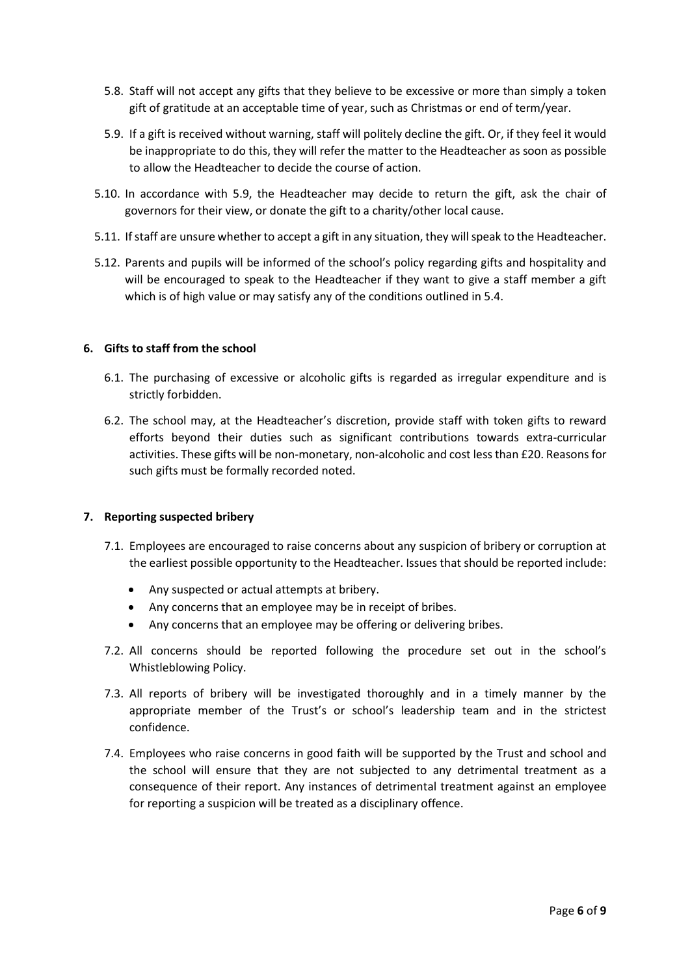- 5.8. Staff will not accept any gifts that they believe to be excessive or more than simply a token gift of gratitude at an acceptable time of year, such as Christmas or end of term/year.
- 5.9. If a gift is received without warning, staff will politely decline the gift. Or, if they feel it would be inappropriate to do this, they will refer the matter to the Headteacher as soon as possible to allow the Headteacher to decide the course of action.
- 5.10. In accordance with 5.9, the Headteacher may decide to return the gift, ask the chair of governors for their view, or donate the gift to a charity/other local cause.
- 5.11. If staff are unsure whether to accept a gift in any situation, they will speak to the Headteacher.
- 5.12. Parents and pupils will be informed of the school's policy regarding gifts and hospitality and will be encouraged to speak to the Headteacher if they want to give a staff member a gift which is of high value or may satisfy any of the conditions outlined in 5.4.

#### <span id="page-6-0"></span>**6. Gifts to staff from the school**

- 6.1. The purchasing of excessive or alcoholic gifts is regarded as irregular expenditure and is strictly forbidden.
- 6.2. The school may, at the Headteacher's discretion, provide staff with token gifts to reward efforts beyond their duties such as significant contributions towards extra-curricular activities. These gifts will be non-monetary, non-alcoholic and cost less than £20. Reasons for such gifts must be formally recorded noted.

#### <span id="page-6-1"></span>**7. Reporting suspected bribery**

- 7.1. Employees are encouraged to raise concerns about any suspicion of bribery or corruption at the earliest possible opportunity to the Headteacher. Issues that should be reported include:
	- Any suspected or actual attempts at bribery.
	- Any concerns that an employee may be in receipt of bribes.
	- Any concerns that an employee may be offering or delivering bribes.
- 7.2. All concerns should be reported following the procedure set out in the school's Whistleblowing Policy.
- 7.3. All reports of bribery will be investigated thoroughly and in a timely manner by the appropriate member of the Trust's or school's leadership team and in the strictest confidence.
- 7.4. Employees who raise concerns in good faith will be supported by the Trust and school and the school will ensure that they are not subjected to any detrimental treatment as a consequence of their report. Any instances of detrimental treatment against an employee for reporting a suspicion will be treated as a disciplinary offence.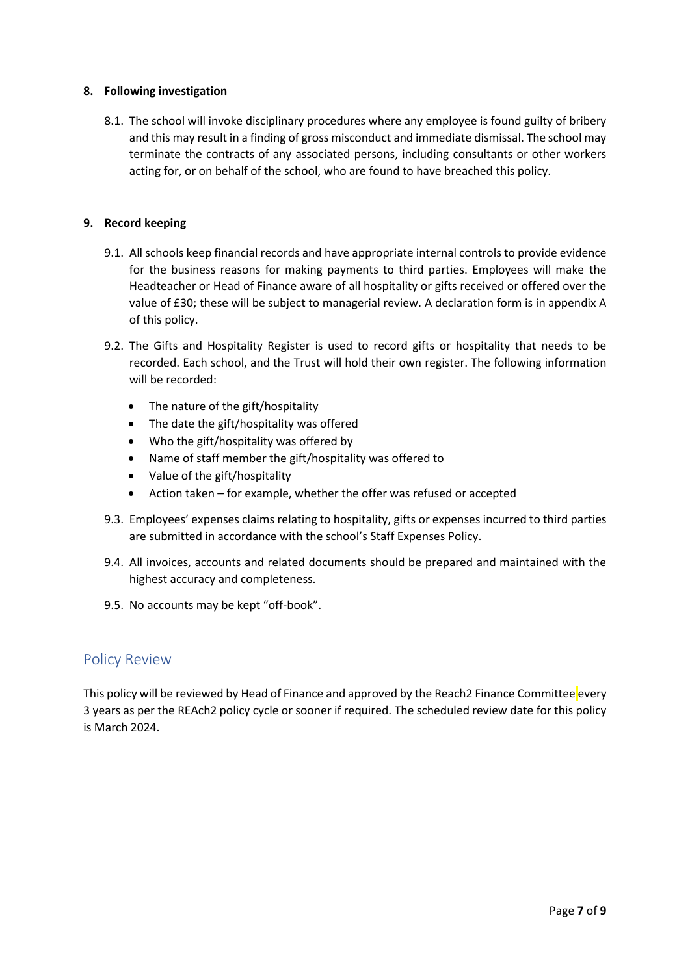## <span id="page-7-0"></span>**8. Following investigation**

8.1. The school will invoke disciplinary procedures where any employee is found guilty of bribery and this may result in a finding of gross misconduct and immediate dismissal. The school may terminate the contracts of any associated persons, including consultants or other workers acting for, or on behalf of the school, who are found to have breached this policy.

#### <span id="page-7-1"></span>**9. Record keeping**

- 9.1. All schools keep financial records and have appropriate internal controls to provide evidence for the business reasons for making payments to third parties. Employees will make the Headteacher or Head of Finance aware of all hospitality or gifts received or offered over the value of £30; these will be subject to managerial review. A declaration form is in appendix A of this policy.
- 9.2. The Gifts and Hospitality Register is used to record gifts or hospitality that needs to be recorded. Each school, and the Trust will hold their own register. The following information will be recorded:
	- The nature of the gift/hospitality
	- The date the gift/hospitality was offered
	- Who the gift/hospitality was offered by
	- Name of staff member the gift/hospitality was offered to
	- Value of the gift/hospitality
	- Action taken for example, whether the offer was refused or accepted
- 9.3. Employees' expenses claims relating to hospitality, gifts or expenses incurred to third parties are submitted in accordance with the school's Staff Expenses Policy.
- 9.4. All invoices, accounts and related documents should be prepared and maintained with the highest accuracy and completeness.
- 9.5. No accounts may be kept "off-book".

# <span id="page-7-2"></span>Policy Review

This policy will be reviewed by Head of Finance and approved by the Reach2 Finance Committee every 3 years as per the REAch2 policy cycle or sooner if required. The scheduled review date for this policy is March 2024.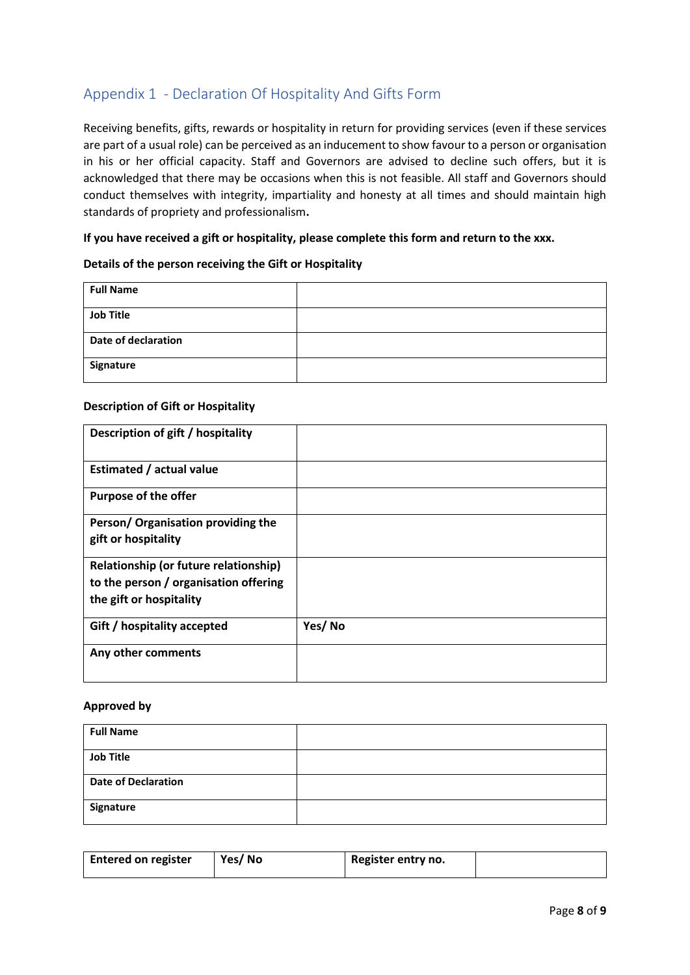# <span id="page-8-0"></span>Appendix 1 - Declaration Of Hospitality And Gifts Form

Receiving benefits, gifts, rewards or hospitality in return for providing services (even if these services are part of a usual role) can be perceived as an inducement to show favour to a person or organisation in his or her official capacity. Staff and Governors are advised to decline such offers, but it is acknowledged that there may be occasions when this is not feasible. All staff and Governors should conduct themselves with integrity, impartiality and honesty at all times and should maintain high standards of propriety and professionalism**.** 

## **If you have received a gift or hospitality, please complete this form and return to the xxx.**

#### **Details of the person receiving the Gift or Hospitality**

| <b>Full Name</b>    |  |
|---------------------|--|
| <b>Job Title</b>    |  |
| Date of declaration |  |
| Signature           |  |

#### **Description of Gift or Hospitality**

| Description of gift / hospitality                                              |        |
|--------------------------------------------------------------------------------|--------|
| <b>Estimated / actual value</b>                                                |        |
| <b>Purpose of the offer</b>                                                    |        |
| Person/ Organisation providing the<br>gift or hospitality                      |        |
|                                                                                |        |
| Relationship (or future relationship)<br>to the person / organisation offering |        |
| the gift or hospitality                                                        |        |
| Gift / hospitality accepted                                                    | Yes/No |
| Any other comments                                                             |        |
|                                                                                |        |

#### **Approved by**

| <b>Full Name</b>           |  |
|----------------------------|--|
| <b>Job Title</b>           |  |
| <b>Date of Declaration</b> |  |
| Signature                  |  |

| <b>Entered on register</b> | Yes/No | Register entry no. |  |
|----------------------------|--------|--------------------|--|
|                            |        |                    |  |